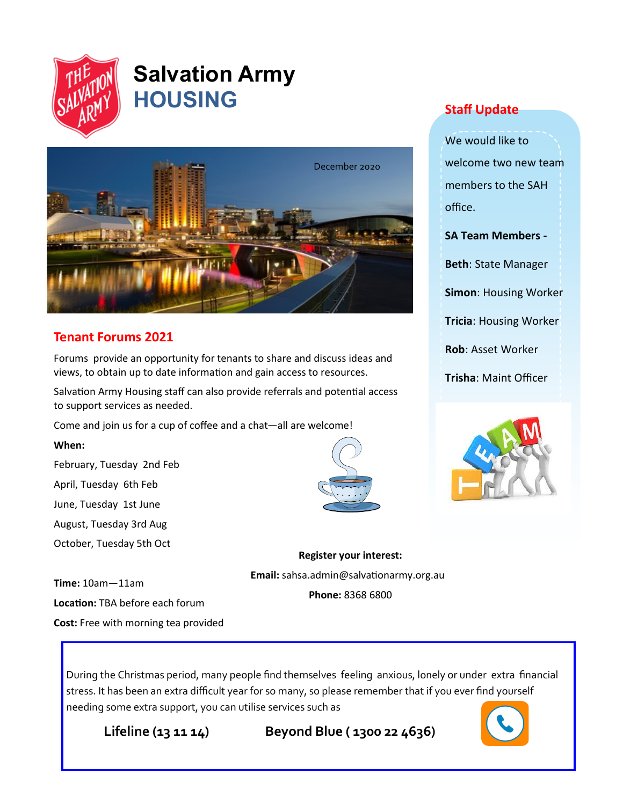

# **Salvation Army HOUSING**



# **Tenant Forums 2021**

Forums provide an opportunity for tenants to share and discuss ideas and views, to obtain up to date information and gain access to resources.

Salvation Army Housing staff can also provide referrals and potential access to support services as needed.

Come and join us for a cup of coffee and a chat—all are welcome!

### **When:**

February, Tuesday 2nd Feb April, Tuesday 6th Feb June, Tuesday 1st June August, Tuesday 3rd Aug October, Tuesday 5th Oct

**Staff Update**

We would like to welcome two new team members to the SAH office.

**SA Team Members -**

**Beth**: State Manager

**Simon**: Housing Worker

**Tricia**: Housing Worker

**Rob**: Asset Worker

**Trisha**: Maint Officer



**Register your interest: Email:** sahsa.admin@salvationarmy.org.au **Phone:** 8368 6800

**Time:** 10am—11am **Location:** TBA before each forum **Cost:** Free with morning tea provided

During the Christmas period, many people find themselves feeling anxious, lonely or under extra financial stress. It has been an extra difficult year for so many, so please remember that if you ever find yourself needing some extra support, you can utilise services such as

 **Lifeline (13 11 14) Beyond Blue ( 1300 22 4636)**